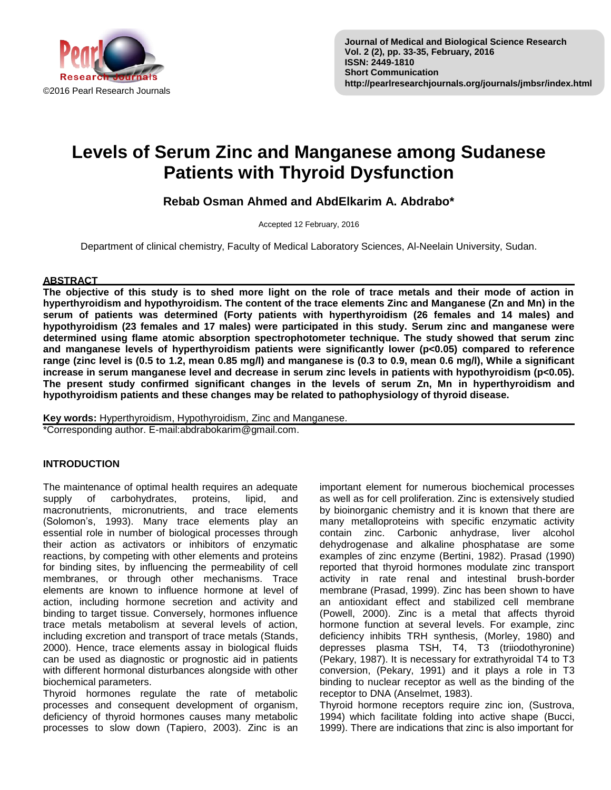

# **Levels of Serum Zinc and Manganese among Sudanese Patients with Thyroid Dysfunction**

**Rebab Osman Ahmed and AbdElkarim A. Abdrabo\***

Accepted 12 February, 2016

Department of clinical chemistry, Faculty of Medical Laboratory Sciences, Al-Neelain University, Sudan.

#### **ABSTRACT**

**The objective of this study is to shed more light on the role of trace metals and their mode of action in hyperthyroidism and hypothyroidism. The content of the trace elements Zinc and Manganese (Zn and Mn) in the serum of patients was determined (Forty patients with hyperthyroidism (26 females and 14 males) and hypothyroidism (23 females and 17 males) were participated in this study. Serum zinc and manganese were determined using flame atomic absorption spectrophotometer technique. The study showed that serum zinc and manganese levels of hyperthyroidism patients were significantly lower (p<0.05) compared to reference range (zinc level is (0.5 to 1.2, mean 0.85 mg/l) and manganese is (0.3 to 0.9, mean 0.6 mg/l), While a significant increase in serum manganese level and decrease in serum zinc levels in patients with hypothyroidism (p<0.05). The present study confirmed significant changes in the levels of serum Zn, Mn in hyperthyroidism and hypothyroidism patients and these changes may be related to pathophysiology of thyroid disease.** 

**Key words:** Hyperthyroidism, Hypothyroidism, Zinc and Manganese. \*Corresponding author. E-mail:abdrabokarim@gmail.com.

#### **INTRODUCTION**

The maintenance of optimal health requires an adequate supply of carbohydrates, proteins, lipid, and macronutrients, micronutrients, and trace elements (Solomon's, 1993). Many trace elements play an essential role in number of biological processes through their action as activators or inhibitors of enzymatic reactions, by competing with other elements and proteins for binding sites, by influencing the permeability of cell membranes, or through other mechanisms. Trace elements are known to influence hormone at level of action, including hormone secretion and activity and binding to target tissue. Conversely, hormones influence trace metals metabolism at several levels of action, including excretion and transport of trace metals (Stands, 2000). Hence, trace elements assay in biological fluids can be used as diagnostic or prognostic aid in patients with different hormonal disturbances alongside with other biochemical parameters.

Thyroid hormones regulate the rate of metabolic processes and consequent development of organism, deficiency of thyroid hormones causes many metabolic processes to slow down (Tapiero, 2003). Zinc is an

important element for numerous biochemical processes as well as for cell proliferation. Zinc is extensively studied by bioinorganic chemistry and it is known that there are many metalloproteins with specific enzymatic activity contain zinc. Carbonic anhydrase, liver alcohol dehydrogenase and alkaline phosphatase are some examples of zinc enzyme (Bertini, 1982). Prasad (1990) reported that thyroid hormones modulate zinc transport activity in rate renal and intestinal brush-border membrane (Prasad, 1999). Zinc has been shown to have an antioxidant effect and stabilized cell membrane (Powell, 2000). Zinc is a metal that affects thyroid hormone function at several levels. For example, zinc deficiency inhibits TRH synthesis, (Morley, 1980) and depresses plasma TSH, T4, T3 (triiodothyronine) (Pekary, 1987). It is necessary for extrathyroidal T4 to T3 conversion, (Pekary, 1991) and it plays a role in T3 binding to nuclear receptor as well as the binding of the receptor to DNA (Anselmet, 1983).

Thyroid hormone receptors require zinc ion, (Sustrova, 1994) which facilitate folding into active shape (Bucci, 1999). There are indications that zinc is also important for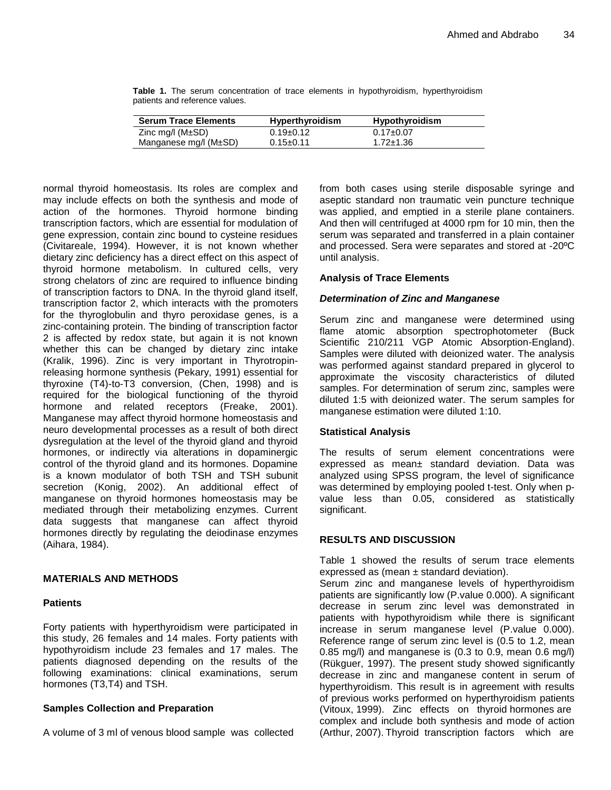**Table 1.** The serum concentration of trace elements in hypothyroidism, hyperthyroidism patients and reference values.

| <b>Serum Trace Elements</b> | <b>Hyperthyroidism</b> | <b>Hypothyroidism</b> |
|-----------------------------|------------------------|-----------------------|
| Zinc mg/l $(M±SD)$          | $0.19 \pm 0.12$        | $0.17 \pm 0.07$       |
| Manganese mg/l (M±SD)       | $0.15 \pm 0.11$        | 1.72±1.36             |

normal thyroid homeostasis. Its roles are complex and may include effects on both the synthesis and mode of action of the hormones. Thyroid hormone binding transcription factors, which are essential for modulation of gene expression, contain zinc bound to cysteine residues (Civitareale, 1994). However, it is not known whether dietary zinc deficiency has a direct effect on this aspect of thyroid hormone metabolism. In cultured cells, very strong chelators of zinc are required to influence binding of transcription factors to DNA. In the thyroid gland itself, transcription factor 2, which interacts with the promoters for the thyroglobulin and thyro peroxidase genes, is a zinc-containing protein. The binding of transcription factor 2 is affected by redox state, but again it is not known whether this can be changed by dietary zinc intake (Kralik, 1996). Zinc is very important in Thyrotropinreleasing hormone synthesis (Pekary, 1991) essential for thyroxine (T4)-to-T3 conversion, (Chen, 1998) and is required for the biological functioning of the thyroid hormone and related receptors (Freake, 2001). Manganese may affect thyroid hormone homeostasis and neuro developmental processes as a result of both direct dysregulation at the level of the thyroid gland and thyroid hormones, or indirectly via alterations in dopaminergic control of the thyroid gland and its hormones. Dopamine is a known modulator of both TSH and TSH subunit secretion (Konig, 2002). An additional effect of manganese on thyroid hormones homeostasis may be mediated through their metabolizing enzymes. Current data suggests that manganese can affect thyroid hormones directly by regulating the deiodinase enzymes (Aihara, 1984).

#### **MATERIALS AND METHODS**

#### **Patients**

Forty patients with hyperthyroidism were participated in this study, 26 females and 14 males. Forty patients with hypothyroidism include 23 females and 17 males. The patients diagnosed depending on the results of the following examinations: clinical examinations, serum hormones (T3,T4) and TSH.

## **Samples Collection and Preparation**

A volume of 3 ml of venous blood sample was collected

from both cases using sterile disposable syringe and aseptic standard non traumatic vein puncture technique was applied, and emptied in a sterile plane containers. And then will centrifuged at 4000 rpm for 10 min, then the serum was separated and transferred in a plain container and processed. Sera were separates and stored at -20ºC until analysis.

#### **Analysis of Trace Elements**

#### *Determination of Zinc and Manganese*

Serum zinc and manganese were determined using flame atomic absorption spectrophotometer (Buck Scientific 210/211 VGP Atomic Absorption-England). Samples were diluted with deionized water. The analysis was performed against standard prepared in glycerol to approximate the viscosity characteristics of diluted samples. For determination of serum zinc, samples were diluted 1:5 with deionized water. The serum samples for manganese estimation were diluted 1:10.

## **Statistical Analysis**

The results of serum element concentrations were expressed as mean± standard deviation. Data was analyzed using SPSS program, the level of significance was determined by employing pooled t-test. Only when pvalue less than 0.05, considered as statistically significant.

## **RESULTS AND DISCUSSION**

Table 1 showed the results of serum trace elements expressed as (mean  $\pm$  standard deviation).

Serum zinc and manganese levels of hyperthyroidism patients are significantly low (P.value 0.000). A significant decrease in serum zinc level was demonstrated in patients with hypothyroidism while there is significant increase in serum manganese level (P.value 0.000). Reference range of serum zinc level is (0.5 to 1.2, mean 0.85 mg/l) and manganese is (0.3 to 0.9, mean 0.6 mg/l) [\(Rükguer,](http://www.ncbi.nlm.nih.gov/pubmed/?term=R%C3%BCkgauer%20M%5BAuthor%5D&cauthor=true&cauthor_uid=9285889) 1997). The present study showed significantly decrease in zinc and manganese content in serum of hyperthyroidism. This result is in agreement with results of previous works performed on hyperthyroidism patients (Vitoux, 1999). Zinc effects on thyroid hormones are complex and include both synthesis and mode of action (Arthur, 2007). Thyroid transcription factors which are